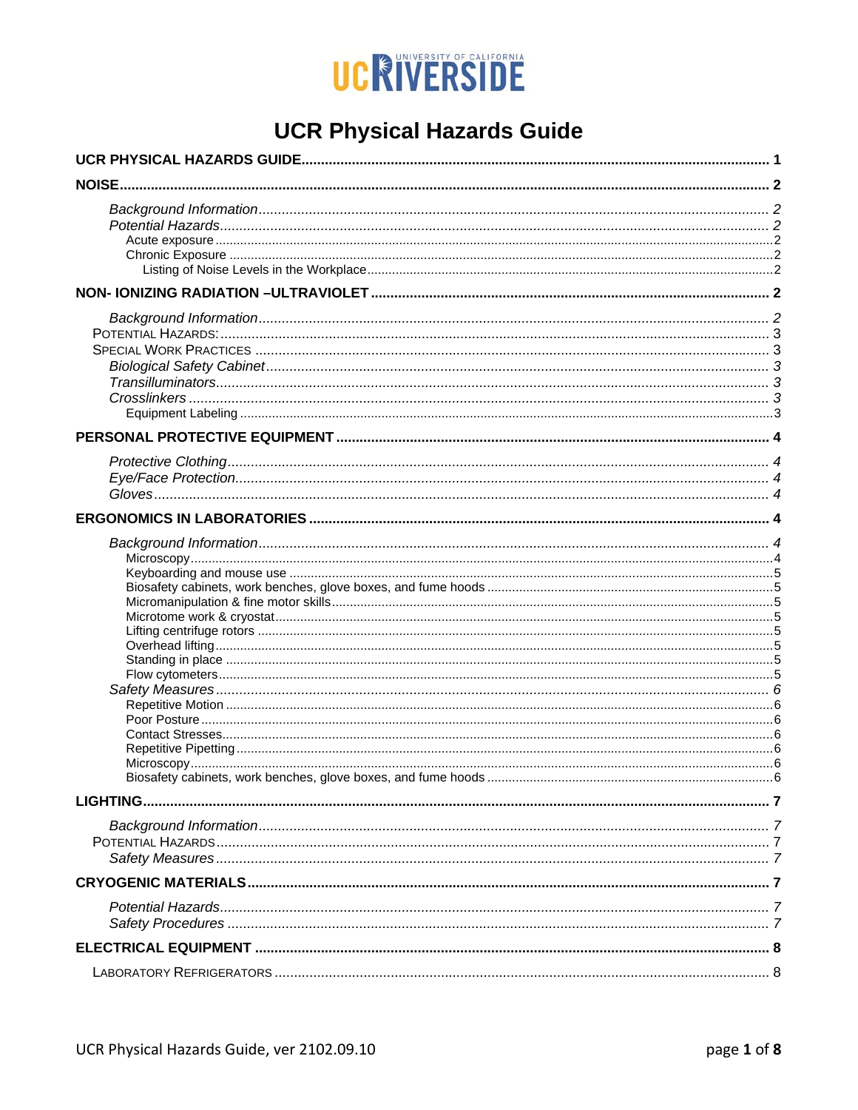

# **UCR Physical Hazards Guide**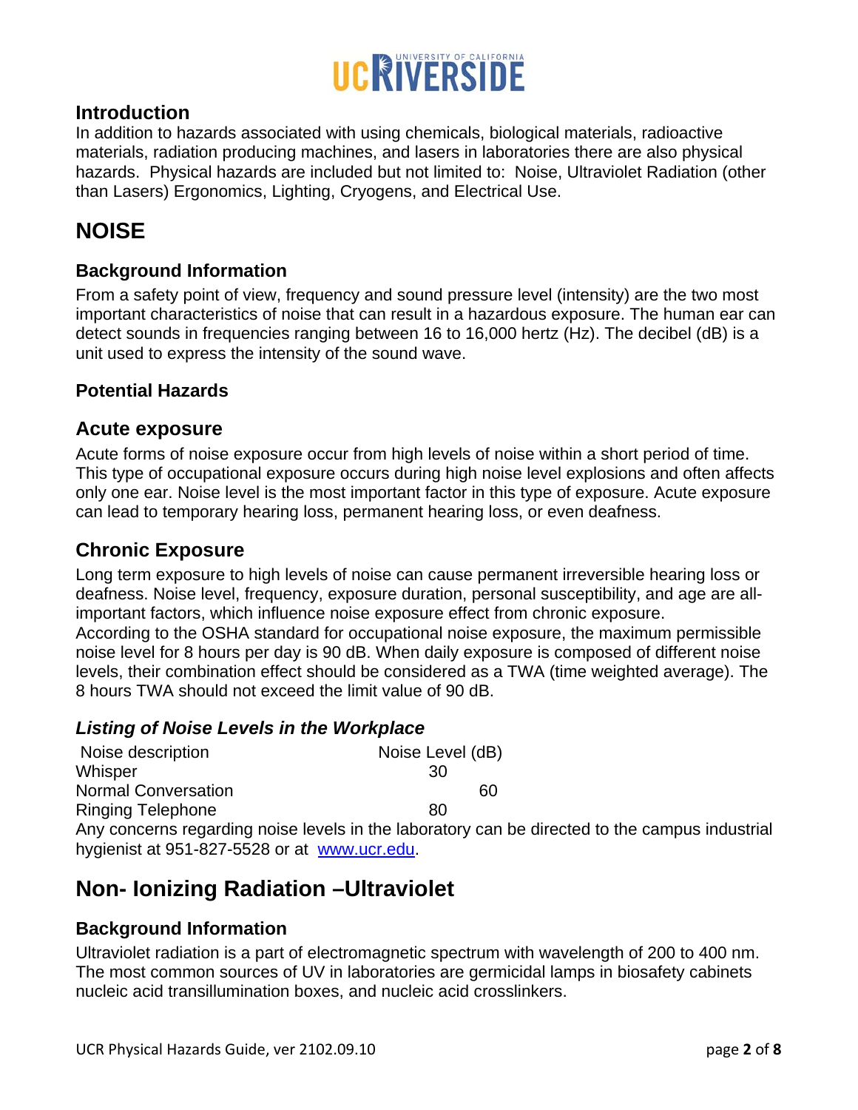

#### **Introduction**

In addition to hazards associated with using chemicals, biological materials, radioactive materials, radiation producing machines, and lasers in laboratories there are also physical hazards. Physical hazards are included but not limited to: Noise, Ultraviolet Radiation (other than Lasers) Ergonomics, Lighting, Cryogens, and Electrical Use.

## **NOISE**

#### **Background Information**

From a safety point of view, frequency and sound pressure level (intensity) are the two most important characteristics of noise that can result in a hazardous exposure. The human ear can detect sounds in frequencies ranging between 16 to 16,000 hertz (Hz). The decibel (dB) is a unit used to express the intensity of the sound wave.

#### **Potential Hazards**

#### **Acute exposure**

Acute forms of noise exposure occur from high levels of noise within a short period of time. This type of occupational exposure occurs during high noise level explosions and often affects only one ear. Noise level is the most important factor in this type of exposure. Acute exposure can lead to temporary hearing loss, permanent hearing loss, or even deafness.

#### **Chronic Exposure**

Long term exposure to high levels of noise can cause permanent irreversible hearing loss or deafness. Noise level, frequency, exposure duration, personal susceptibility, and age are allimportant factors, which influence noise exposure effect from chronic exposure. According to the OSHA standard for occupational noise exposure, the maximum permissible noise level for 8 hours per day is 90 dB. When daily exposure is composed of different noise levels, their combination effect should be considered as a TWA (time weighted average). The 8 hours TWA should not exceed the limit value of 90 dB.

#### *Listing of Noise Levels in the Workplace*

| Noise description                                           | Noise Level (dB) |
|-------------------------------------------------------------|------------------|
| Whisper                                                     | 30               |
| <b>Normal Conversation</b>                                  | 60               |
| <b>Ringing Telephone</b>                                    | 80               |
| Any concerns regarding noise levels in the laboratory can b |                  |

be directed to the campus industrial hygienist at 951-827-5528 or at www.ucr.edu.

## **Non- Ionizing Radiation –Ultraviolet**

#### **Background Information**

Ultraviolet radiation is a part of electromagnetic spectrum with wavelength of 200 to 400 nm. The most common sources of UV in laboratories are germicidal lamps in biosafety cabinets nucleic acid transillumination boxes, and nucleic acid crosslinkers.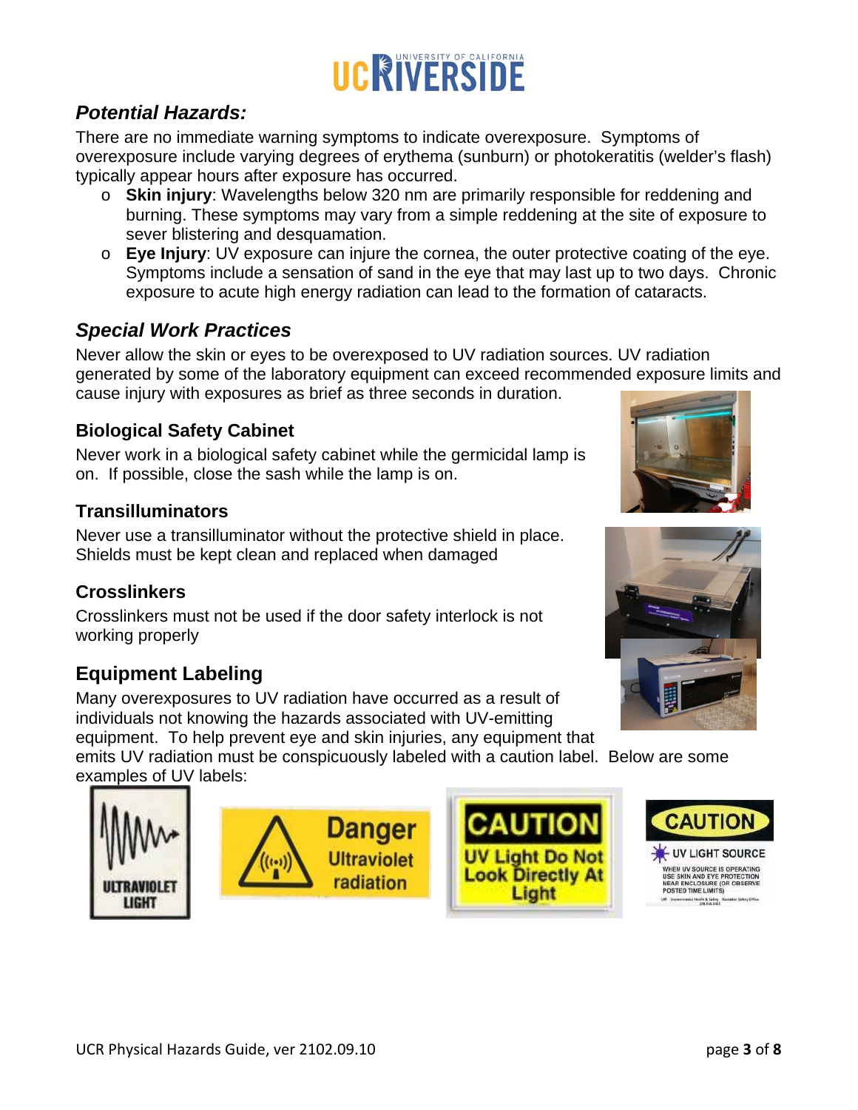## *Potential Hazards:*

There are no immediate warning symptoms to indicate overexposure. Symptoms of overexposure include varying degrees of erythema (sunburn) or photokeratitis (welder's flash) typically appear hours after exposure has occurred.

- o **Skin injury**: Wavelengths below 320 nm are primarily responsible for reddening and burning. These symptoms may vary from a simple reddening at the site of exposure to sever blistering and desquamation.
- o **Eye Injury**: UV exposure can injure the cornea, the outer protective coating of the eye. Symptoms include a sensation of sand in the eye that may last up to two days. Chronic exposure to acute high energy radiation can lead to the formation of cataracts.

## *Special Work Practices*

Never allow the skin or eyes to be overexposed to UV radiation sources. UV radiation generated by some of the laboratory equipment can exceed recommended exposure limits and cause injury with exposures as brief as three seconds in duration.

## **Biological Safety Cabinet**

Never work in a biological safety cabinet while the germicidal lamp is on. If possible, close the sash while the lamp is on.

## **Transilluminators**

Never use a transilluminator without the protective shield in place. Shields must be kept clean and replaced when damaged

## **Crosslinkers**

**ULTRAVIOLET** 

**LIGHT** 

Crosslinkers must not be used if the door safety interlock is not working properly

# **Equipment Labeling**

Many overexposures to UV radiation have occurred as a result of individuals not knowing the hazards associated with UV-emitting equipment. To help prevent eye and skin injuries, any equipment that

emits UV radiation must be conspicuously labeled with a caution label. Below are some examples of UV labels:











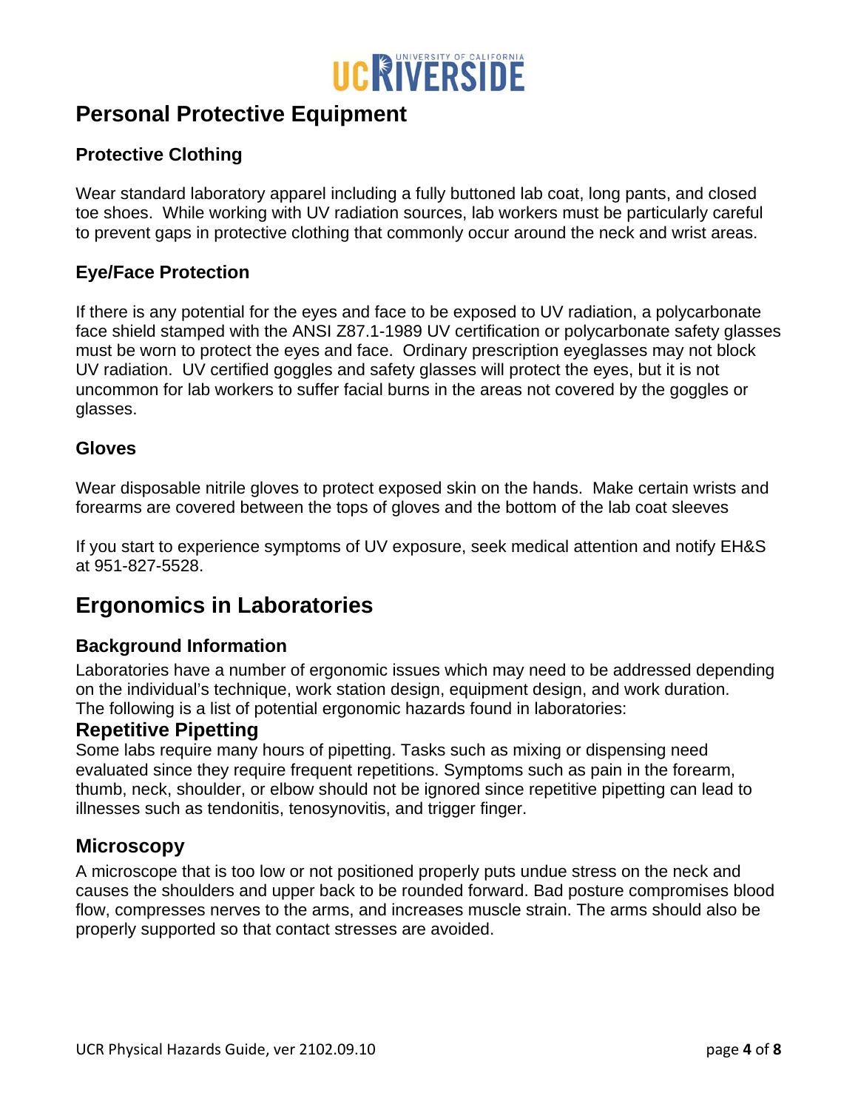

## **Personal Protective Equipment**

#### **Protective Clothing**

Wear standard laboratory apparel including a fully buttoned lab coat, long pants, and closed toe shoes. While working with UV radiation sources, lab workers must be particularly careful to prevent gaps in protective clothing that commonly occur around the neck and wrist areas.

#### **Eye/Face Protection**

If there is any potential for the eyes and face to be exposed to UV radiation, a polycarbonate face shield stamped with the ANSI Z87.1-1989 UV certification or polycarbonate safety glasses must be worn to protect the eyes and face. Ordinary prescription eyeglasses may not block UV radiation. UV certified goggles and safety glasses will protect the eyes, but it is not uncommon for lab workers to suffer facial burns in the areas not covered by the goggles or glasses.

#### **Gloves**

Wear disposable nitrile gloves to protect exposed skin on the hands. Make certain wrists and forearms are covered between the tops of gloves and the bottom of the lab coat sleeves

If you start to experience symptoms of UV exposure, seek medical attention and notify EH&S at 951-827-5528.

## **Ergonomics in Laboratories**

#### **Background Information**

Laboratories have a number of ergonomic issues which may need to be addressed depending on the individual's technique, work station design, equipment design, and work duration. The following is a list of potential ergonomic hazards found in laboratories:

#### **Repetitive Pipetting**

Some labs require many hours of pipetting. Tasks such as mixing or dispensing need evaluated since they require frequent repetitions. Symptoms such as pain in the forearm, thumb, neck, shoulder, or elbow should not be ignored since repetitive pipetting can lead to illnesses such as tendonitis, tenosynovitis, and trigger finger.

#### **Microscopy**

A microscope that is too low or not positioned properly puts undue stress on the neck and causes the shoulders and upper back to be rounded forward. Bad posture compromises blood flow, compresses nerves to the arms, and increases muscle strain. The arms should also be properly supported so that contact stresses are avoided.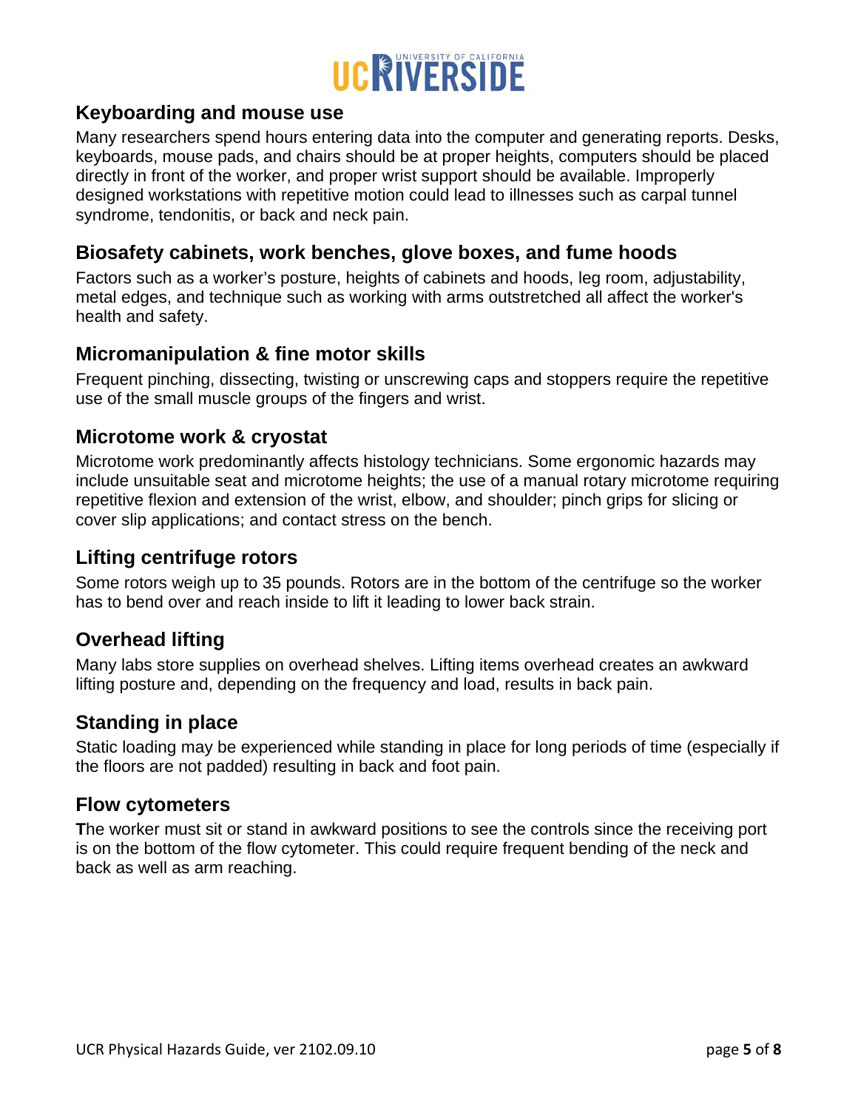

#### **Keyboarding and mouse use**

Many researchers spend hours entering data into the computer and generating reports. Desks, keyboards, mouse pads, and chairs should be at proper heights, computers should be placed directly in front of the worker, and proper wrist support should be available. Improperly designed workstations with repetitive motion could lead to illnesses such as carpal tunnel syndrome, tendonitis, or back and neck pain.

#### **Biosafety cabinets, work benches, glove boxes, and fume hoods**

Factors such as a worker's posture, heights of cabinets and hoods, leg room, adjustability, metal edges, and technique such as working with arms outstretched all affect the worker's health and safety.

#### **Micromanipulation & fine motor skills**

Frequent pinching, dissecting, twisting or unscrewing caps and stoppers require the repetitive use of the small muscle groups of the fingers and wrist.

#### **Microtome work & cryostat**

Microtome work predominantly affects histology technicians. Some ergonomic hazards may include unsuitable seat and microtome heights; the use of a manual rotary microtome requiring repetitive flexion and extension of the wrist, elbow, and shoulder; pinch grips for slicing or cover slip applications; and contact stress on the bench.

#### **Lifting centrifuge rotors**

Some rotors weigh up to 35 pounds. Rotors are in the bottom of the centrifuge so the worker has to bend over and reach inside to lift it leading to lower back strain.

#### **Overhead lifting**

Many labs store supplies on overhead shelves. Lifting items overhead creates an awkward lifting posture and, depending on the frequency and load, results in back pain.

#### **Standing in place**

Static loading may be experienced while standing in place for long periods of time (especially if the floors are not padded) resulting in back and foot pain.

#### **Flow cytometers**

**T**he worker must sit or stand in awkward positions to see the controls since the receiving port is on the bottom of the flow cytometer. This could require frequent bending of the neck and back as well as arm reaching.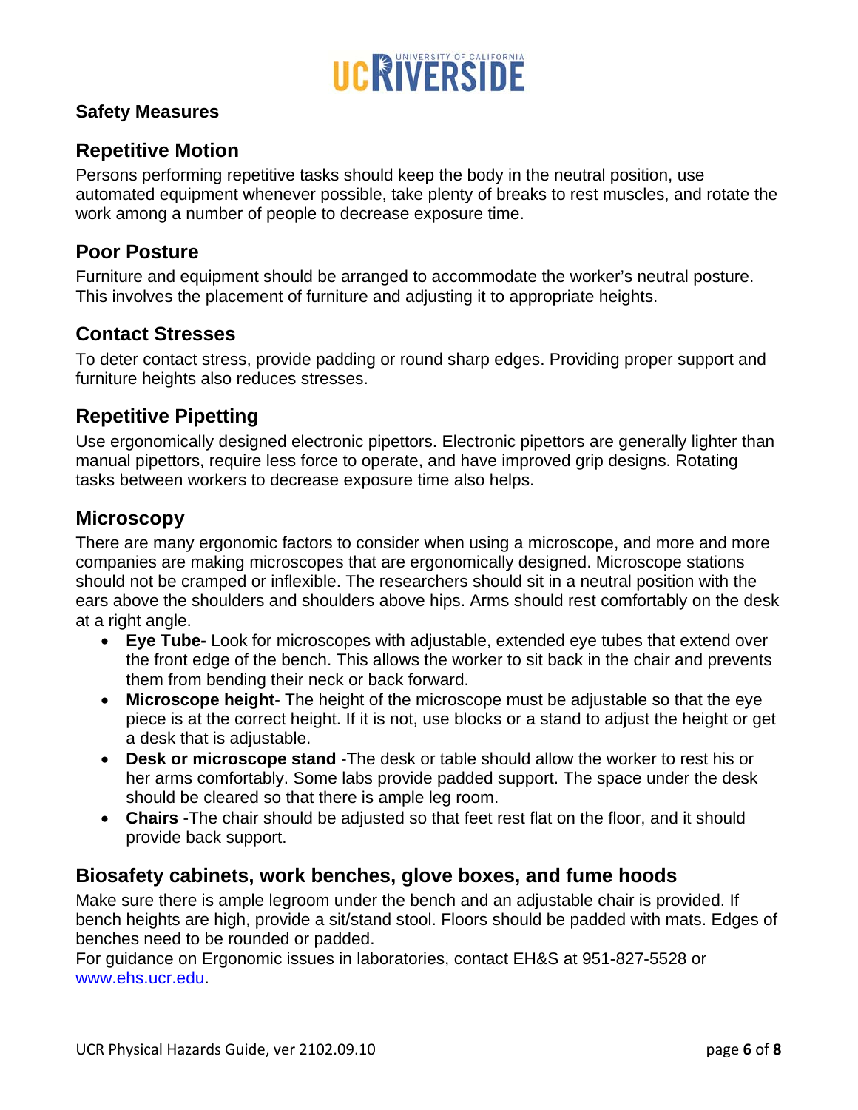

#### **Safety Measures**

#### **Repetitive Motion**

Persons performing repetitive tasks should keep the body in the neutral position, use automated equipment whenever possible, take plenty of breaks to rest muscles, and rotate the work among a number of people to decrease exposure time.

#### **Poor Posture**

Furniture and equipment should be arranged to accommodate the worker's neutral posture. This involves the placement of furniture and adjusting it to appropriate heights.

#### **Contact Stresses**

To deter contact stress, provide padding or round sharp edges. Providing proper support and furniture heights also reduces stresses.

#### **Repetitive Pipetting**

Use ergonomically designed electronic pipettors. Electronic pipettors are generally lighter than manual pipettors, require less force to operate, and have improved grip designs. Rotating tasks between workers to decrease exposure time also helps.

#### **Microscopy**

There are many ergonomic factors to consider when using a microscope, and more and more companies are making microscopes that are ergonomically designed. Microscope stations should not be cramped or inflexible. The researchers should sit in a neutral position with the ears above the shoulders and shoulders above hips. Arms should rest comfortably on the desk at a right angle.

- **Eye Tube-** Look for microscopes with adjustable, extended eye tubes that extend over the front edge of the bench. This allows the worker to sit back in the chair and prevents them from bending their neck or back forward.
- **Microscope height** The height of the microscope must be adjustable so that the eye piece is at the correct height. If it is not, use blocks or a stand to adjust the height or get a desk that is adjustable.
- **Desk or microscope stand** -The desk or table should allow the worker to rest his or her arms comfortably. Some labs provide padded support. The space under the desk should be cleared so that there is ample leg room.
- **Chairs** -The chair should be adjusted so that feet rest flat on the floor, and it should provide back support.

#### **Biosafety cabinets, work benches, glove boxes, and fume hoods**

Make sure there is ample legroom under the bench and an adjustable chair is provided. If bench heights are high, provide a sit/stand stool. Floors should be padded with mats. Edges of benches need to be rounded or padded.

For guidance on Ergonomic issues in laboratories, contact EH&S at 951-827-5528 or www.ehs.ucr.edu.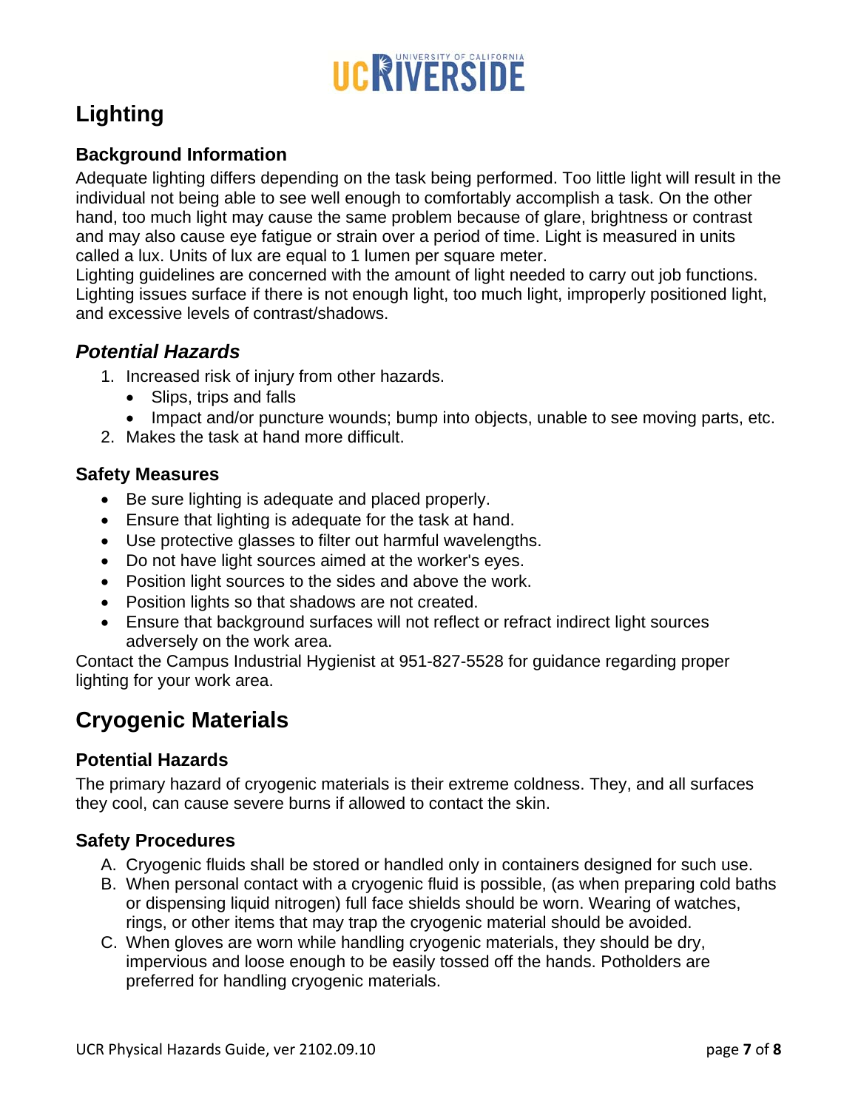# UCRIVERSIDE

# **Lighting**

### **Background Information**

Adequate lighting differs depending on the task being performed. Too little light will result in the individual not being able to see well enough to comfortably accomplish a task. On the other hand, too much light may cause the same problem because of glare, brightness or contrast and may also cause eye fatigue or strain over a period of time. Light is measured in units called a lux. Units of lux are equal to 1 lumen per square meter.

Lighting guidelines are concerned with the amount of light needed to carry out job functions. Lighting issues surface if there is not enough light, too much light, improperly positioned light, and excessive levels of contrast/shadows.

## *Potential Hazards*

- 1. Increased risk of injury from other hazards.
	- Slips, trips and falls
	- Impact and/or puncture wounds; bump into objects, unable to see moving parts, etc.
- 2. Makes the task at hand more difficult.

#### **Safety Measures**

- Be sure lighting is adequate and placed properly.
- Ensure that lighting is adequate for the task at hand.
- Use protective glasses to filter out harmful wavelengths.
- Do not have light sources aimed at the worker's eyes.
- Position light sources to the sides and above the work.
- Position lights so that shadows are not created.
- Ensure that background surfaces will not reflect or refract indirect light sources adversely on the work area.

Contact the Campus Industrial Hygienist at 951-827-5528 for guidance regarding proper lighting for your work area.

# **Cryogenic Materials**

#### **Potential Hazards**

The primary hazard of cryogenic materials is their extreme coldness. They, and all surfaces they cool, can cause severe burns if allowed to contact the skin.

#### **Safety Procedures**

- A. Cryogenic fluids shall be stored or handled only in containers designed for such use.
- B. When personal contact with a cryogenic fluid is possible, (as when preparing cold baths or dispensing liquid nitrogen) full face shields should be worn. Wearing of watches, rings, or other items that may trap the cryogenic material should be avoided.
- C. When gloves are worn while handling cryogenic materials, they should be dry, impervious and loose enough to be easily tossed off the hands. Potholders are preferred for handling cryogenic materials.